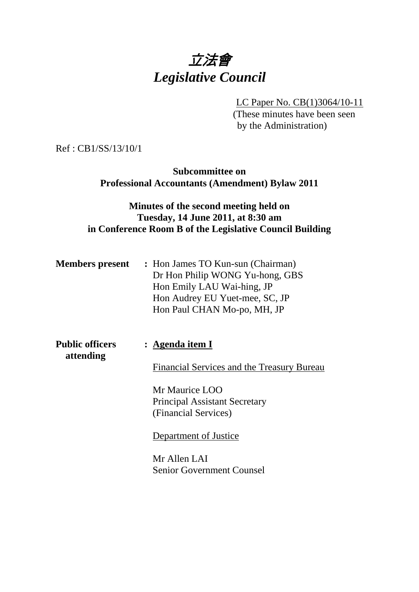# 立法會 *Legislative Council*

LC Paper No. CB(1)3064/10-11

(These minutes have been seen by the Administration)

Ref : CB1/SS/13/10/1

**Subcommittee on Professional Accountants (Amendment) Bylaw 2011** 

## **Minutes of the second meeting held on Tuesday, 14 June 2011, at 8:30 am in Conference Room B of the Legislative Council Building**

**Members present :** Hon James TO Kun-sun (Chairman) Dr Hon Philip WONG Yu-hong, GBS Hon Emily LAU Wai-hing, JP Hon Audrey EU Yuet-mee, SC, JP Hon Paul CHAN Mo-po, MH, JP

**Public officers : Agenda item I attending** 

Financial Services and the Treasury Bureau

Mr Maurice LOO Principal Assistant Secretary (Financial Services)

Department of Justice

Mr Allen LAI Senior Government Counsel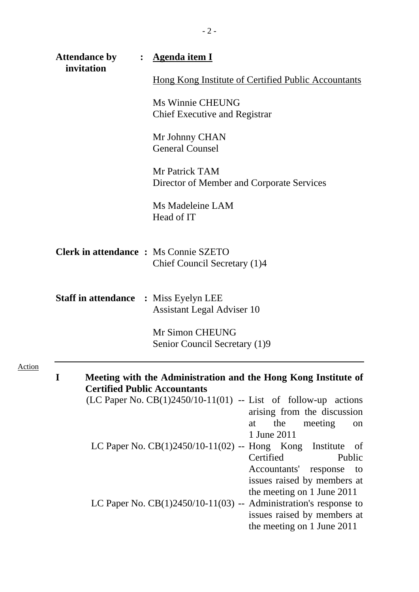|               | <b>Attendance by</b>                         | : <u>Agenda item I</u>                                                                                                                                                                                                      |
|---------------|----------------------------------------------|-----------------------------------------------------------------------------------------------------------------------------------------------------------------------------------------------------------------------------|
|               | invitation                                   | <u>Hong Kong Institute of Certified Public Accountants</u>                                                                                                                                                                  |
|               |                                              | Ms Winnie CHEUNG<br><b>Chief Executive and Registrar</b>                                                                                                                                                                    |
|               |                                              | Mr Johnny CHAN<br><b>General Counsel</b>                                                                                                                                                                                    |
|               |                                              | Mr Patrick TAM<br>Director of Member and Corporate Services                                                                                                                                                                 |
|               |                                              | Ms Madeleine LAM<br>Head of IT                                                                                                                                                                                              |
|               |                                              | <b>Clerk in attendance : Ms Connie SZETO</b><br>Chief Council Secretary (1)4                                                                                                                                                |
|               | <b>Staff in attendance : Miss Eyelyn LEE</b> | <b>Assistant Legal Adviser 10</b>                                                                                                                                                                                           |
|               |                                              | Mr Simon CHEUNG<br>Senior Council Secretary (1)9                                                                                                                                                                            |
| <b>Action</b> | I                                            | Meeting with the Administration and the Hong Kong Institute of<br><b>Certified Public Accountants</b>                                                                                                                       |
|               |                                              | $(LC$ Paper No. $CB(1)2450/10-11(01)$ -- List of follow-up actions<br>arising from the discussion<br>the<br>meeting<br>at<br>on                                                                                             |
|               |                                              | 1 June 2011<br>LC Paper No. $CB(1)2450/10-11(02)$ -- Hong Kong Institute<br>of<br>Certified<br>Public                                                                                                                       |
|               |                                              | Accountants' response<br>to<br>issues raised by members at<br>the meeting on 1 June 2011<br>LC Paper No. $CB(1)2450/10-11(03)$ -- Administration's response to<br>issues raised by members at<br>the meeting on 1 June 2011 |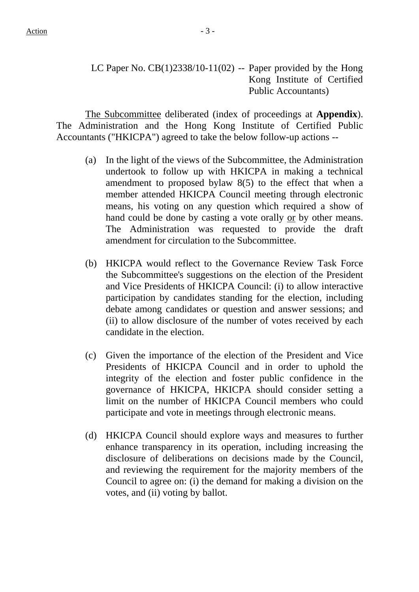The Subcommittee deliberated (index of proceedings at **Appendix**). The Administration and the Hong Kong Institute of Certified Public Accountants ("HKICPA") agreed to take the below follow-up actions --

- (a) In the light of the views of the Subcommittee, the Administration undertook to follow up with HKICPA in making a technical amendment to proposed bylaw 8(5) to the effect that when a member attended HKICPA Council meeting through electronic means, his voting on any question which required a show of hand could be done by casting a vote orally or by other means. The Administration was requested to provide the draft amendment for circulation to the Subcommittee.
- (b) HKICPA would reflect to the Governance Review Task Force the Subcommittee's suggestions on the election of the President and Vice Presidents of HKICPA Council: (i) to allow interactive participation by candidates standing for the election, including debate among candidates or question and answer sessions; and (ii) to allow disclosure of the number of votes received by each candidate in the election.
- (c) Given the importance of the election of the President and Vice Presidents of HKICPA Council and in order to uphold the integrity of the election and foster public confidence in the governance of HKICPA, HKICPA should consider setting a limit on the number of HKICPA Council members who could participate and vote in meetings through electronic means.
- (d) HKICPA Council should explore ways and measures to further enhance transparency in its operation, including increasing the disclosure of deliberations on decisions made by the Council, and reviewing the requirement for the majority members of the Council to agree on: (i) the demand for making a division on the votes, and (ii) voting by ballot.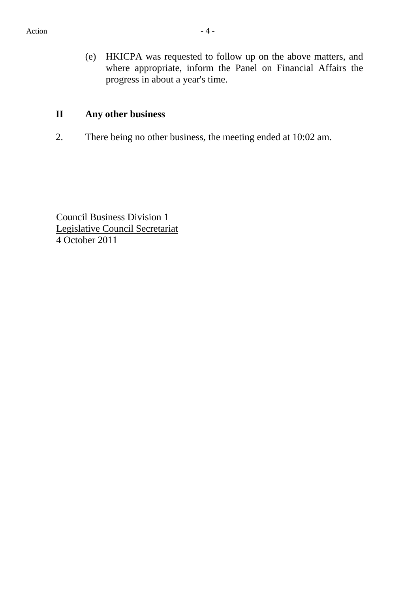(e) HKICPA was requested to follow up on the above matters, and where appropriate, inform the Panel on Financial Affairs the progress in about a year's time.

#### **II Any other business**

2. There being no other business, the meeting ended at 10:02 am.

Council Business Division 1 Legislative Council Secretariat 4 October 2011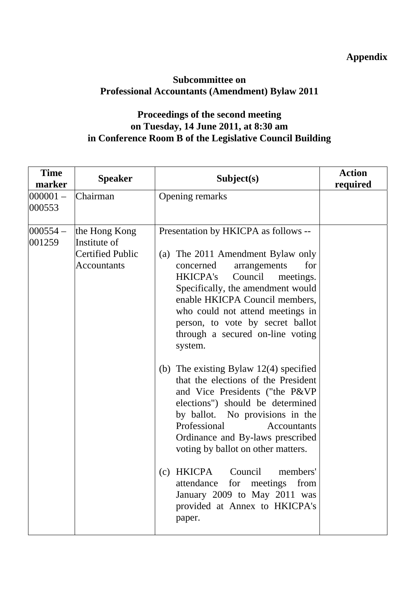### **Appendix**

#### **Subcommittee on Professional Accountants (Amendment) Bylaw 2011**

# **Proceedings of the second meeting on Tuesday, 14 June 2011, at 8:30 am in Conference Room B of the Legislative Council Building**

| <b>Time</b><br>marker | <b>Speaker</b>                                                                 | Subject(s)                                                                                                                                                                                                                                                                                                                                             | <b>Action</b><br>required |
|-----------------------|--------------------------------------------------------------------------------|--------------------------------------------------------------------------------------------------------------------------------------------------------------------------------------------------------------------------------------------------------------------------------------------------------------------------------------------------------|---------------------------|
| $000001 -$            | Chairman                                                                       | Opening remarks                                                                                                                                                                                                                                                                                                                                        |                           |
| 000553                |                                                                                |                                                                                                                                                                                                                                                                                                                                                        |                           |
| $000554-$<br>001259   | the Hong Kong<br>Institute of<br><b>Certified Public</b><br><b>Accountants</b> | Presentation by HKICPA as follows --<br>(a) The 2011 Amendment Bylaw only<br>for<br>concerned<br>arrangements<br><b>HKICPA's</b><br>Council<br>meetings.<br>Specifically, the amendment would<br>enable HKICPA Council members,<br>who could not attend meetings in<br>person, to vote by secret ballot<br>through a secured on-line voting<br>system. |                           |
|                       |                                                                                | (b) The existing Bylaw $12(4)$ specified<br>that the elections of the President<br>and Vice Presidents ("the P&VP<br>elections") should be determined<br>by ballot. No provisions in the<br>Professional<br><b>Accountants</b><br>Ordinance and By-laws prescribed<br>voting by ballot on other matters.                                               |                           |
|                       |                                                                                | (c) HKICPA<br>Council<br>members'<br>attendance<br>for<br>meetings<br>from<br>January 2009 to May 2011 was<br>provided at Annex to HKICPA's<br>paper.                                                                                                                                                                                                  |                           |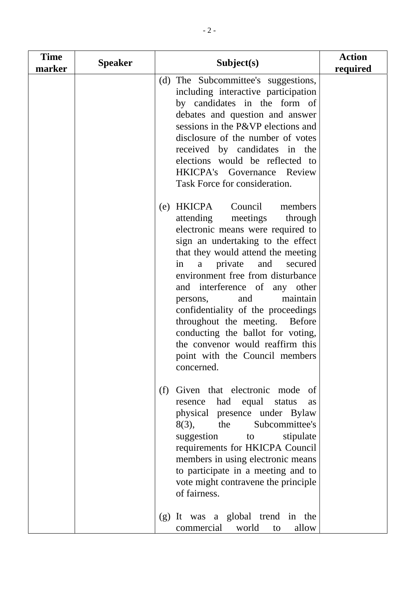| <b>Time</b><br>marker | <b>Speaker</b> | Subject(s)                                                                                                                                                                                                                                                                                                                                                                                                                                                                                                                   | <b>Action</b><br>required |
|-----------------------|----------------|------------------------------------------------------------------------------------------------------------------------------------------------------------------------------------------------------------------------------------------------------------------------------------------------------------------------------------------------------------------------------------------------------------------------------------------------------------------------------------------------------------------------------|---------------------------|
|                       |                | (d) The Subcommittee's suggestions,<br>including interactive participation<br>by candidates in the form of<br>debates and question and answer<br>sessions in the P&VP elections and<br>disclosure of the number of votes<br>received by candidates in the<br>elections would be reflected to<br>HKICPA's Governance Review<br>Task Force for consideration.                                                                                                                                                                  |                           |
|                       |                | HKICPA Council<br>members<br>(e)<br>meetings<br>attending<br>through<br>electronic means were required to<br>sign an undertaking to the effect<br>that they would attend the meeting<br>a private and<br>in<br>secured<br>environment free from disturbance<br>and interference of any other<br>maintain<br>and<br>persons,<br>confidentiality of the proceedings<br>throughout the meeting. Before<br>conducting the ballot for voting,<br>the convenor would reaffirm this<br>point with the Council members<br>concerned. |                           |
|                       |                | Given that electronic mode<br>(f)<br>of<br>had equal<br>resence<br>status<br>as<br>physical presence under Bylaw<br>the<br>Subcommittee's<br>$8(3)$ ,<br>suggestion<br>stipulate<br>to to<br>requirements for HKICPA Council<br>members in using electronic means<br>to participate in a meeting and to<br>vote might contravene the principle<br>of fairness.<br>It was a global trend in the<br>(g)<br>world<br>commercial<br>allow<br>to                                                                                  |                           |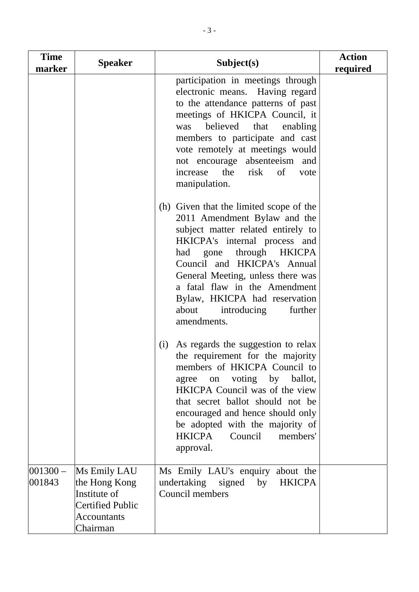| <b>Time</b><br>marker | <b>Speaker</b>                                                                                             | Subject(s)                                                                                                                                                                                                                                                                                                                                                        | <b>Action</b><br>required |
|-----------------------|------------------------------------------------------------------------------------------------------------|-------------------------------------------------------------------------------------------------------------------------------------------------------------------------------------------------------------------------------------------------------------------------------------------------------------------------------------------------------------------|---------------------------|
|                       |                                                                                                            | participation in meetings through<br>electronic means. Having regard<br>to the attendance patterns of past<br>meetings of HKICPA Council, it<br>believed<br>that<br>enabling<br>was<br>members to participate and cast<br>vote remotely at meetings would<br>not encourage absenteeism and<br>increase the risk of<br>vote<br>manipulation.                       |                           |
|                       |                                                                                                            | (h) Given that the limited scope of the<br>2011 Amendment Bylaw and the<br>subject matter related entirely to<br>HKICPA's internal process and<br>had gone through HKICPA<br>Council and HKICPA's Annual<br>General Meeting, unless there was<br>a fatal flaw in the Amendment<br>Bylaw, HKICPA had reservation<br>about<br>introducing<br>further<br>amendments. |                           |
|                       |                                                                                                            | As regards the suggestion to relax<br>(i)<br>the requirement for the majority<br>members of HKICPA Council to<br>voting by ballot,<br>agree<br>on<br>HKICPA Council was of the view<br>that secret ballot should not be<br>encouraged and hence should only<br>be adopted with the majority of<br><b>HKICPA</b><br>Council<br>members'<br>approval.               |                           |
| $ 001300 -$<br>001843 | Ms Emily LAU<br>the Hong Kong<br>Institute of<br><b>Certified Public</b><br><b>Accountants</b><br>Chairman | Ms Emily LAU's enquiry about the<br>undertaking signed<br>by<br><b>HKICPA</b><br>Council members                                                                                                                                                                                                                                                                  |                           |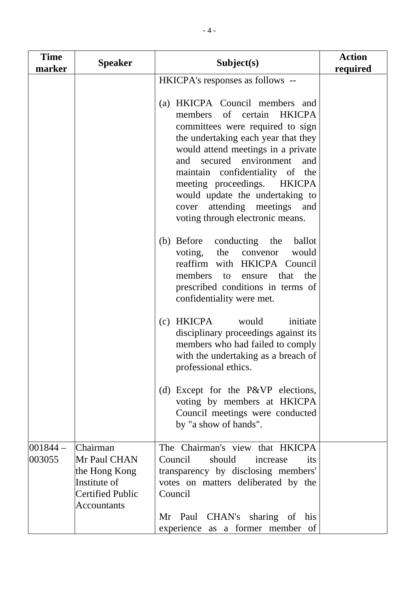| <b>Time</b><br>marker | <b>Speaker</b>                                                                                             | Subject(s)                                                                                                                                                                                                                                                                                                                                                                                          | <b>Action</b><br>required |
|-----------------------|------------------------------------------------------------------------------------------------------------|-----------------------------------------------------------------------------------------------------------------------------------------------------------------------------------------------------------------------------------------------------------------------------------------------------------------------------------------------------------------------------------------------------|---------------------------|
|                       |                                                                                                            | HKICPA's responses as follows --                                                                                                                                                                                                                                                                                                                                                                    |                           |
|                       |                                                                                                            | HKICPA Council members and<br>(a)<br>of certain HKICPA<br>members<br>committees were required to sign<br>the undertaking each year that they<br>would attend meetings in a private<br>environment<br>secured<br>and<br>and<br>maintain confidentiality of the<br>meeting proceedings. HKICPA<br>would update the undertaking to<br>cover attending meetings and<br>voting through electronic means. |                           |
|                       |                                                                                                            | (b) Before<br>conducting the ballot<br>the convenor<br>voting,<br>would<br>reaffirm with HKICPA Council<br>members<br>the<br>ensure that<br>to<br>prescribed conditions in terms of<br>confidentiality were met.                                                                                                                                                                                    |                           |
|                       |                                                                                                            | <b>HKICPA</b><br>would<br>initiate<br>(c)<br>disciplinary proceedings against its<br>members who had failed to comply<br>with the undertaking as a breach of<br>professional ethics.                                                                                                                                                                                                                |                           |
|                       |                                                                                                            | (d) Except for the $P&VP$ elections,<br>voting by members at HKICPA<br>Council meetings were conducted<br>by "a show of hands".                                                                                                                                                                                                                                                                     |                           |
| $ 001844 -$<br>003055 | Chairman<br>Mr Paul CHAN<br>the Hong Kong<br>Institute of<br><b>Certified Public</b><br><b>Accountants</b> | The Chairman's view that HKICPA<br>Council<br>should<br>increase<br>its<br>transparency by disclosing members'<br>votes on matters deliberated by the<br>Council<br>Mr Paul CHAN's sharing of<br>his                                                                                                                                                                                                |                           |
|                       |                                                                                                            | experience as a former member of                                                                                                                                                                                                                                                                                                                                                                    |                           |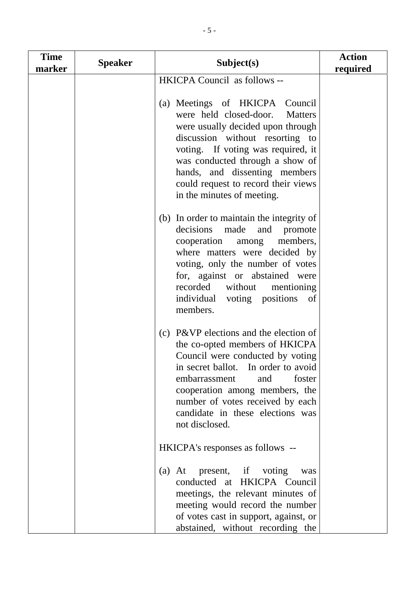| <b>Time</b><br>marker | <b>Speaker</b> | Subject(s)                                                                                                                                                                                                                                                                                                                        | <b>Action</b><br>required |
|-----------------------|----------------|-----------------------------------------------------------------------------------------------------------------------------------------------------------------------------------------------------------------------------------------------------------------------------------------------------------------------------------|---------------------------|
|                       |                | <b>HKICPA Council as follows --</b>                                                                                                                                                                                                                                                                                               |                           |
|                       |                | (a) Meetings of HKICPA Council<br>were held closed-door.<br><b>Matters</b><br>were usually decided upon through<br>discussion without resorting to<br>voting. If voting was required, it<br>was conducted through a show of<br>hands, and dissenting members<br>could request to record their views<br>in the minutes of meeting. |                           |
|                       |                | (b) In order to maintain the integrity of<br>decisions<br>made and promote<br>cooperation among members,<br>where matters were decided by<br>voting, only the number of votes<br>for, against or abstained were<br>recorded without<br>mentioning<br>individual voting positions of<br>members.                                   |                           |
|                       |                | (c) P&VP elections and the election of<br>the co-opted members of HKICPA<br>Council were conducted by voting<br>in secret ballot. In order to avoid<br>embarrassment<br>and<br>foster<br>cooperation among members, the<br>number of votes received by each<br>candidate in these elections was<br>not disclosed.                 |                           |
|                       |                | HKICPA's responses as follows --                                                                                                                                                                                                                                                                                                  |                           |
|                       |                | present, if voting<br>$(a)$ At<br>was<br>conducted at HKICPA Council<br>meetings, the relevant minutes of<br>meeting would record the number<br>of votes cast in support, against, or<br>abstained, without recording the                                                                                                         |                           |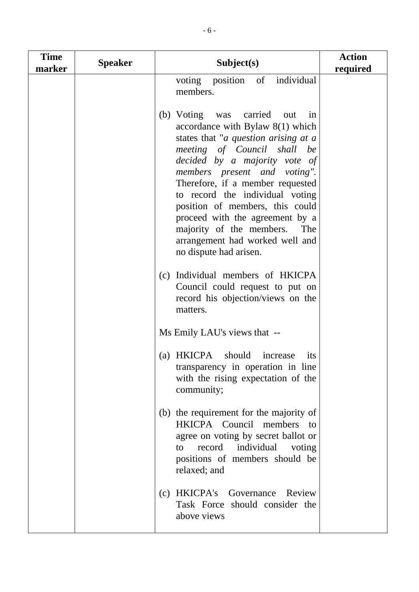| <b>Time</b><br>marker | <b>Speaker</b> | Subject(s)                                                                                                                                                                                                                                                                                                                                                                                                                                                          | <b>Action</b><br>required |
|-----------------------|----------------|---------------------------------------------------------------------------------------------------------------------------------------------------------------------------------------------------------------------------------------------------------------------------------------------------------------------------------------------------------------------------------------------------------------------------------------------------------------------|---------------------------|
|                       |                | voting position of individual<br>members.                                                                                                                                                                                                                                                                                                                                                                                                                           |                           |
|                       |                | (b) Voting was carried<br>out in<br>accordance with Bylaw $8(1)$ which<br>states that " <i>a question arising at a</i><br>meeting of Council shall be<br>decided by a majority vote of<br>members present and voting".<br>Therefore, if a member requested<br>to record the individual voting<br>position of members, this could<br>proceed with the agreement by a<br>majority of the members.<br>The<br>arrangement had worked well and<br>no dispute had arisen. |                           |
|                       |                | (c) Individual members of HKICPA<br>Council could request to put on<br>record his objection/views on the<br>matters.                                                                                                                                                                                                                                                                                                                                                |                           |
|                       |                | Ms Emily LAU's views that --                                                                                                                                                                                                                                                                                                                                                                                                                                        |                           |
|                       |                | (a) HKICPA should<br>increase<br>its<br>transparency in operation in line<br>with the rising expectation of the<br>community;                                                                                                                                                                                                                                                                                                                                       |                           |
|                       |                | (b) the requirement for the majority of<br>HKICPA Council members to<br>agree on voting by secret ballot or<br>individual<br>record<br>voting<br>to<br>positions of members should be<br>relaxed; and                                                                                                                                                                                                                                                               |                           |
|                       |                | HKICPA's<br>Governance<br>Review<br>(c)<br>Task Force should consider the<br>above views                                                                                                                                                                                                                                                                                                                                                                            |                           |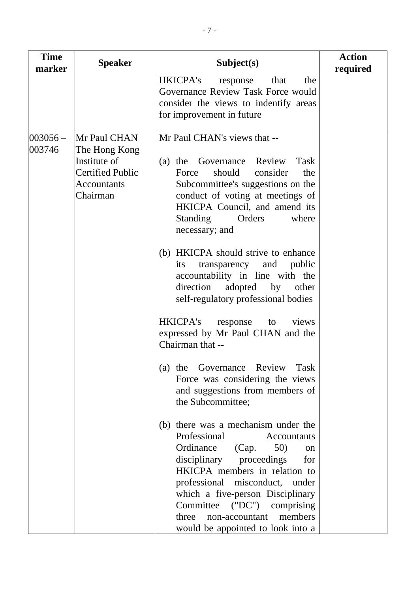| <b>Time</b><br>marker | <b>Speaker</b>                                                                                             | Subject(s)                                                                                                                                                                                                                                                                                                                                                                                                                                                                                                                                                                                                                                                                                                                                                                                                                                                                                                                                                                                                                                                                      | <b>Action</b><br>required |
|-----------------------|------------------------------------------------------------------------------------------------------------|---------------------------------------------------------------------------------------------------------------------------------------------------------------------------------------------------------------------------------------------------------------------------------------------------------------------------------------------------------------------------------------------------------------------------------------------------------------------------------------------------------------------------------------------------------------------------------------------------------------------------------------------------------------------------------------------------------------------------------------------------------------------------------------------------------------------------------------------------------------------------------------------------------------------------------------------------------------------------------------------------------------------------------------------------------------------------------|---------------------------|
|                       |                                                                                                            | HKICPA's<br>that<br>the<br>response<br>Governance Review Task Force would<br>consider the views to indentify areas<br>for improvement in future                                                                                                                                                                                                                                                                                                                                                                                                                                                                                                                                                                                                                                                                                                                                                                                                                                                                                                                                 |                           |
| $ 003056 -$<br>003746 | Mr Paul CHAN<br>The Hong Kong<br>Institute of<br><b>Certified Public</b><br><b>Accountants</b><br>Chairman | Mr Paul CHAN's views that --<br>(a) the Governance Review<br><b>Task</b><br>should<br>consider<br>Force<br>the<br>Subcommittee's suggestions on the<br>conduct of voting at meetings of<br>HKICPA Council, and amend its<br>Standing<br>Orders<br>where<br>necessary; and<br>(b) HKICPA should strive to enhance<br>transparency and public<br>its<br>accountability in line with the<br>direction<br>adopted by<br>other<br>self-regulatory professional bodies<br>HKICPA's<br>views<br>response<br>to<br>expressed by Mr Paul CHAN and the<br>Chairman that --<br>(a) the Governance Review<br><b>Task</b><br>Force was considering the views<br>and suggestions from members of<br>the Subcommittee;<br>(b) there was a mechanism under the<br>Professional<br>Accountants<br>Ordinance<br>(Cap.<br>50)<br><sub>on</sub><br>disciplinary proceedings<br>for<br>HKICPA members in relation to<br>professional misconduct, under<br>which a five-person Disciplinary<br>Committee ("DC") comprising<br>three<br>members<br>non-accountant<br>would be appointed to look into a |                           |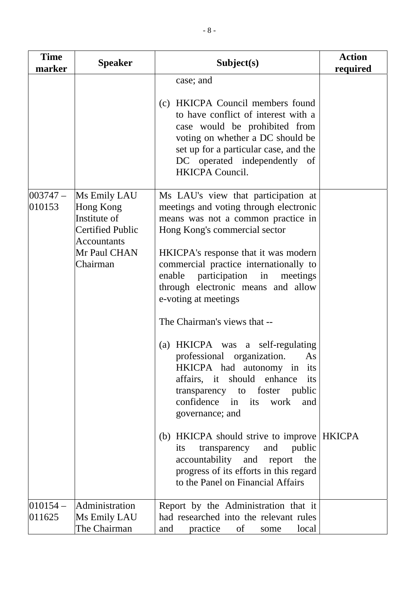| <b>Time</b><br>marker | <b>Speaker</b>                                                                                                         | Subject(s)                                                                                                                                                                                                                                                                                                                                                                                                                                                                                                                                                                                                                                                                                                                                                                                                           | <b>Action</b><br>required |
|-----------------------|------------------------------------------------------------------------------------------------------------------------|----------------------------------------------------------------------------------------------------------------------------------------------------------------------------------------------------------------------------------------------------------------------------------------------------------------------------------------------------------------------------------------------------------------------------------------------------------------------------------------------------------------------------------------------------------------------------------------------------------------------------------------------------------------------------------------------------------------------------------------------------------------------------------------------------------------------|---------------------------|
|                       |                                                                                                                        | case; and                                                                                                                                                                                                                                                                                                                                                                                                                                                                                                                                                                                                                                                                                                                                                                                                            |                           |
|                       |                                                                                                                        | (c) HKICPA Council members found<br>to have conflict of interest with a<br>case would be prohibited from<br>voting on whether a DC should be<br>set up for a particular case, and the<br>DC operated independently of<br><b>HKICPA Council.</b>                                                                                                                                                                                                                                                                                                                                                                                                                                                                                                                                                                      |                           |
| $ 003747 -$<br>010153 | Ms Emily LAU<br>Hong Kong<br>Institute of<br><b>Certified Public</b><br><b>Accountants</b><br>Mr Paul CHAN<br>Chairman | Ms LAU's view that participation at<br>meetings and voting through electronic<br>means was not a common practice in<br>Hong Kong's commercial sector<br>HKICPA's response that it was modern<br>commercial practice internationally to<br>participation in<br>enable<br>meetings<br>through electronic means and allow<br>e-voting at meetings<br>The Chairman's views that --<br>(a) HKICPA was a self-regulating<br>professional organization.<br>As<br>HKICPA had autonomy in its<br>affairs, it should enhance<br>its<br>transparency to foster public<br>confidence in its work<br>and<br>governance; and<br>(b) HKICPA should strive to improve HKICPA<br>transparency and<br>public<br>its<br>accountability and report<br>the<br>progress of its efforts in this regard<br>to the Panel on Financial Affairs |                           |
| $ 010154 -$           | Administration                                                                                                         |                                                                                                                                                                                                                                                                                                                                                                                                                                                                                                                                                                                                                                                                                                                                                                                                                      |                           |
| 011625                | Ms Emily LAU                                                                                                           | Report by the Administration that it<br>had researched into the relevant rules                                                                                                                                                                                                                                                                                                                                                                                                                                                                                                                                                                                                                                                                                                                                       |                           |
|                       | The Chairman                                                                                                           | local<br>practice<br>$\sigma f$<br>and<br>some                                                                                                                                                                                                                                                                                                                                                                                                                                                                                                                                                                                                                                                                                                                                                                       |                           |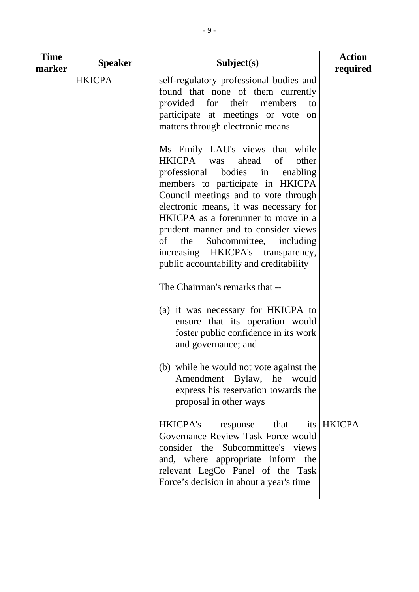| <b>Time</b><br>marker | <b>Speaker</b> | Subject(s)                                                                                                                                                                                                                                                                                                                                                                                                                               | <b>Action</b><br>required |
|-----------------------|----------------|------------------------------------------------------------------------------------------------------------------------------------------------------------------------------------------------------------------------------------------------------------------------------------------------------------------------------------------------------------------------------------------------------------------------------------------|---------------------------|
|                       | <b>HKICPA</b>  | self-regulatory professional bodies and<br>found that none of them currently<br>provided for their members<br>to<br>participate at meetings or vote<br>on<br>matters through electronic means                                                                                                                                                                                                                                            |                           |
|                       |                | Ms Emily LAU's views that while<br>HKICPA was<br>ahead<br>of<br>other<br>professional bodies in enabling<br>members to participate in HKICPA<br>Council meetings and to vote through<br>electronic means, it was necessary for<br>HKICPA as a forerunner to move in a<br>prudent manner and to consider views<br>the<br>Subcommittee,<br>of<br>including<br>increasing HKICPA's transparency,<br>public accountability and creditability |                           |
|                       |                | The Chairman's remarks that --<br>(a) it was necessary for HKICPA to<br>ensure that its operation would<br>foster public confidence in its work<br>and governance; and<br>(b) while he would not vote against the<br>Amendment Bylaw, he would<br>express his reservation towards the<br>proposal in other ways                                                                                                                          |                           |
|                       |                | HKICPA's<br>that<br>its  <br>response<br>Governance Review Task Force would<br>consider the Subcommittee's views<br>and, where appropriate inform the<br>relevant LegCo Panel of the Task<br>Force's decision in about a year's time                                                                                                                                                                                                     | <b>HKICPA</b>             |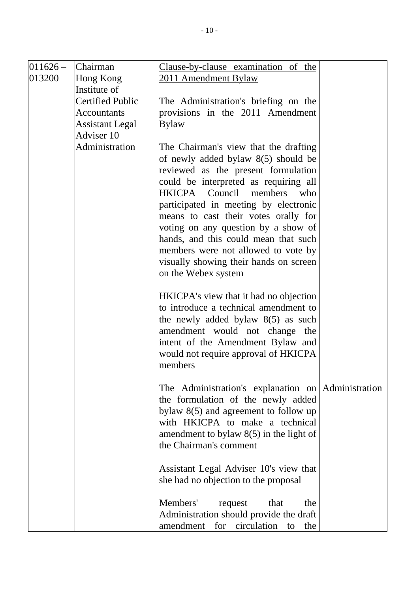| $011626 -$ | Chairman                                     | Clause-by-clause examination of the                                                                                                                                                                                                                                                                                                                                                                                                                 |  |
|------------|----------------------------------------------|-----------------------------------------------------------------------------------------------------------------------------------------------------------------------------------------------------------------------------------------------------------------------------------------------------------------------------------------------------------------------------------------------------------------------------------------------------|--|
| 013200     | Hong Kong                                    | 2011 Amendment Bylaw                                                                                                                                                                                                                                                                                                                                                                                                                                |  |
|            | Institute of                                 |                                                                                                                                                                                                                                                                                                                                                                                                                                                     |  |
|            | <b>Certified Public</b>                      | The Administration's briefing on the                                                                                                                                                                                                                                                                                                                                                                                                                |  |
|            | <b>Accountants</b><br><b>Assistant Legal</b> | provisions in the 2011 Amendment<br><b>Bylaw</b>                                                                                                                                                                                                                                                                                                                                                                                                    |  |
|            | Adviser 10                                   |                                                                                                                                                                                                                                                                                                                                                                                                                                                     |  |
|            | Administration                               | The Chairman's view that the drafting<br>of newly added bylaw $8(5)$ should be<br>reviewed as the present formulation<br>could be interpreted as requiring all<br>Council members<br>HKICPA<br>who<br>participated in meeting by electronic<br>means to cast their votes orally for<br>voting on any question by a show of<br>hands, and this could mean that such<br>members were not allowed to vote by<br>visually showing their hands on screen |  |
|            |                                              | on the Webex system                                                                                                                                                                                                                                                                                                                                                                                                                                 |  |
|            |                                              | HKICPA's view that it had no objection<br>to introduce a technical amendment to<br>the newly added bylaw $8(5)$ as such<br>amendment would not change the<br>intent of the Amendment Bylaw and<br>would not require approval of HKICPA<br>members                                                                                                                                                                                                   |  |
|            |                                              | The Administration's explanation on Administration<br>the formulation of the newly added<br>bylaw $8(5)$ and agreement to follow up<br>with HKICPA to make a technical<br>amendment to bylaw $8(5)$ in the light of<br>the Chairman's comment                                                                                                                                                                                                       |  |
|            |                                              | Assistant Legal Adviser 10's view that<br>she had no objection to the proposal                                                                                                                                                                                                                                                                                                                                                                      |  |
|            |                                              | Members'<br>that<br>the<br>request<br>Administration should provide the draft<br>amendment for circulation<br>the<br>to                                                                                                                                                                                                                                                                                                                             |  |